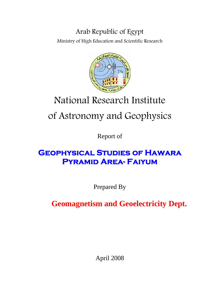Arab Republic of Egypt

Ministry of High Education and Scientific Research



# National Research Institute

of Astronomy and Geophysics

Report of

## **Geophysical Studies of Hawara Pyramid Area- Faiyum**

Prepared By

**Geomagnetism and Geoelectricity Dept.**

April 2008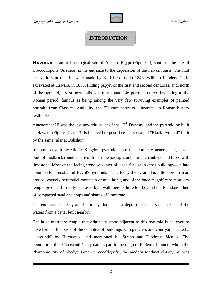

## **INTRODUCTION**

**HAWARA** is an archaeological site of Ancient Egypt (Figure 1), south of the site of Crocodilopolis (Arsinoe) at the entrance to the depression of the Faiyum oasis. The first excavations at the site were made by Karl Lepsius, in 1843. William Flinders Petrie excavated at Hawara, in 1888, finding papyri of the first and second centuries, and, north of the pyramid, a vast necropolis where he found 146 portraits on coffins dating to the Roman period, famous as being among the very few surviving examples of painted portraits from Classical Antiquity, the "Faiyum portraits" illustrated in Roman history textbooks.

Amenemhet III was the last powerful ruler of the  $12<sup>th</sup>$  Dynasty, and the pyramid he built at Hawara (Figures 2 and 3) is believed to post-date the so-called "Black Pyramid" built by the same ruler at Dahshur.

In common with the Middle Kingdom pyramids constructed after Amenemhet II, it was built of mudbrick round a core of limestone passages and burial chambers, and faced with limestone. Most of the facing stone was later pillaged for use in other buildings— a fate common to almost all of Egypt's pyramids— and today the pyramid is little more than an eroded, vaguely pyramidal mountain of mud brick, and of the once magnificent mortuary temple precinct formerly enclosed by a wall there is little left beyond the foundation bed of compacted sand and chips and shards of limestone.

The entrance to the pyramid is today flooded to a depth of 6 meters as a result of the waters from a canal built nearby.

The huge mortuary temple that originally stood adjacent to this pyramid is believed to have formed the basis of the complex of buildings with galleries and courtyards called a "labyrinth" by Herodotus, and mentioned by Strabo and Diodorus Siculus. The demolition of the "labyrinth" may date in part to the reign of Ptolemy II, under whom the Pharaonic city of Shedyt (Greek *Crocodilopolis*, the modern Medinet el-Faiyum) was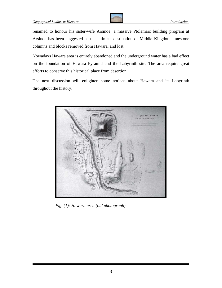renamed to honour his sister-wife Arsinoe; a massive Ptolemaic building program at Arsinoe has been suggested as the ultimate destination of Middle Kingdom limestone columns and blocks removed from Hawara, and lost.

Nowadays Hawara area is entirely abandoned and the underground water has a bad effect on the foundation of Hawara Pyramid and the Labyrinth site. The area require great efforts to conserve this historical place from desertion.

The next discussion will enlighten some notions about Hawara and its Labyrinth throughout the history.



*Fig. (1): Hawara area (old photograph).*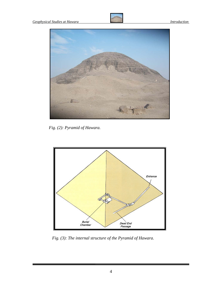

*Fig. (2): Pyramid of Hawara.*



*Fig. (3): The internal structure of the Pyramid of Hawara.*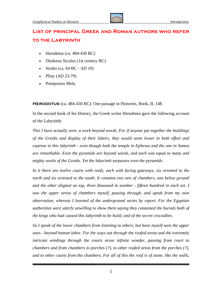### **List of principal Greek and Roman authors who refer to the Labyrinth**

- Herodotus (ca. 484-430 BC)
- Diodorus Siculus (1st century BC)
- Strabo (ca.  $64$  BC AD 19)
- Pliny (AD 23-79)
- Pomponius Mela

**HERODOTUS** (ca. 484-430 BC): One passage in Histories, Book, II, 148.

In the second book of his History, the Greek writer Herodotus gave the following account of the Labyrinth:

*This I have actually seen, a work beyond words. For if anyone put together the buildings of the Greeks and display of their labors, they would seem lesser in both effort and expense to this labyrinth - even though both the temple in Ephesus and the one in Samos are remarkable. Even the pyramids are beyond words, and each was equal to many and mighty works of the Greeks. Yet the labyrinth surpasses even the pyramids.* 

In *it there are twelve courts with roofs, each with facing gateways, six oriented to the north and six oriented to the south. It contains two sets of chambers, one below ground and the other aligned on top, three thousand in number - fifteen hundred in each set. I saw the upper series of chambers myself, passing through, and speak from my own observation, whereas I learned of the underground series by report. For the Egyptian authorities were utterly unwilling to show them saying they contained the burials both of the kings who had caused this labyrinth to be build, and of the secret crocodiles.* 

*So I speak of the lower chambers from listening to others, but have myself seen the upper ones - beyond human labor. For the ways out through the roofed areas and the extremely intricate windings through the courts arose infinite wonder, passing from court to chambers and from chambers to porches (?), to other roofed areas from the porches (?), and to other courts from the chambers. For all of this the roof is of stone, like the walls,*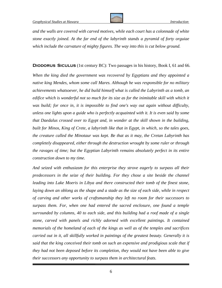

*and the walls are covered with carved motives, while each court has a colonnade of white stone exactly joined. At the far end of the labyrinth stands a pyramid of forty orguiae which include the carvature of mighty figures. The way into this is cut below ground.*

**DIODORUS SICULUS** (1st century BC): Two passages in his history, Book I, 61 and 66.

*When the king died the government was recovered by Egyptians and they appointed a native king Mendes, whom some call Mares. Although he was responsible for no military achievements whatsoever, he did build himself what is called the Labyrinth as a tomb, an*  edifice which is wonderful not so much for its size as for the inimitable skill with which it *was build; for once in, it is impossible to find one's way out again without difficulty, unless one lights upon a guide who is perfectly acquainted with it. It is even said by some that Daedalus crossed over to Egypt and, in wonder at the skill shown in the building, built for Minos, King of Crete, a labyrinth like that in Egypt, in which, so the tales goes, the creature called the Minotaur was kept. Be that as it may, the Cretan Labyrinth has completely disappeared, either through the destruction wrought by some ruler or through the ravages of time; but the Egyptian Labyrinth remains absolutely perfect in its entire construction down to my time.* 

*And seized with enthusiasm for this enterprise they strove eagerly to surpass all their predecessors in the seize of their building. For they chose a site beside the channel leading into Lake Moeris in Libya and there constructed their tomb of the finest stone,*  laying down an oblong as the shape and a stade as the size of each side, while in respect *of carving and other works of craftsmanship they left no room for their successors to surpass them. For, when one had entered the sacred enclosure, one found a temple surrounded by columns, 40 to each side, and this building had a roof made of a single stone, carved with panels and richly adorned with excellent paintings. It contained memorials of the homeland of each of the kings as well as of the temples and sacrifices carried out in it, all skillfully worked in paintings of the greatest beauty. Generally it is said that the king conceived their tomb on such an expensive and prodigious scale that if they had not been deposed before its completion, they would not have been able to give their successors any opportunity to surpass them in architectural feats.*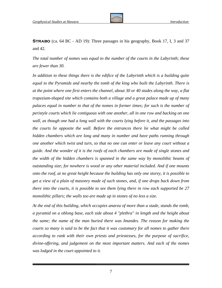

**Strabo** (ca. 64 BC - AD 19): Three passages in his geography, Book 17, I, 3 and 37 and 42.

*The total number of nomes was equal to the number of the courts in the Labyrinth; these are fewer than 30.* 

In addition to these things there is the edifice of the Labyrinth which is a building quite *equal to the Pyramids and nearby the tomb of the king who built the Labyrinth. There is at the point where one first enters the channel, about 30 or 40 stades along the way, a flat trapezium-shaped site which contains both a village and a great palace made up of many palaces equal in number to that of the nomes in former times; for such is the number of peristyle courts which lie contiguous with one another, all in one row and backing on one wall, as though one had a long wall with the courts lying before it, and the passages into the courts lie opposite the wall. Before the entrances there lie what might be called hidden chambers which are long and many in number and have paths running through one another which twist and turn, so that no one can enter or leave any court without a guide. And the wonder of it is the roofs of each chambers are made of single stones and the width of the hidden chambers is spanned in the same way by monolithic beams of outstanding size; for nowhere is wood or any other material included. And if one mounts onto the roof, at no great height because the building has only one storey, it is possible to get a view of a plain of masonry made of such stones, and, if one drops back down from there into the courts, it is possible to see them lying there in row each supported be 27*  monolithic pillars; the walls too are made up in stones of no less a size.

*At the end of this building, which occupies anarea of more than a stade, stands the tomb, a pyramid on a oblong base, each side about 4 "plethra" in length and the height about the same; the name of the man buried there was Imandes. The reason for making the courts so many is said to be the fact that it was customary for all nomes to gather there according to rank with their own priests and priestesses, for the purpose of sacrifice, divine-offering, and judgement on the most important matters. And each of the nomes was lodged in the court appointed to it.*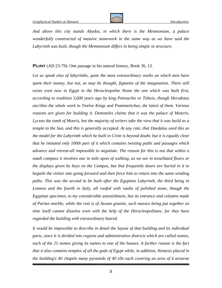

*And above this city stands Abydos, in which there is the Memnonium, a palace wonderfully constructed of massive stonework in the same way as we have said the*  Labyrinth was built, though the Memnonium differs in being simple in structure.

#### **PLINY** (AD 23-79): One passage in his natural history, Book 36, 13.

Let us speak also of labyrinths, quite the most extraordinary works on which men have *spent their money, but not, as may be thought, figments of the imagination. There still exists even now in Egypt in the Heracleopolite Nome the one which was built first, according to tradition 3,600 years ago by king Petesuchis or Tithois, though Herodotus ascribes the whole work to Twelve Kings and Psammetichus, the latest of them. Various reasons are given for building it. Demoteles claims that it was the palace of Moteris, Lyceas the tomb of Moeris, but the majority of writers take the view that it was build as a temple to the Sun, and this is generally accepted. At any rate, that Daedalus used this as the model for the Labyrinth which he built in Crete is beyond doubt, but it is equally clear that he imitated only 100th part of it which contains twisting paths and passages which advance and retreat-all impossible to negotiate. The reason for this is not that within a small compass it involves one in mile upon of walking, as we see in tessellated floors or the displays given by boys on the Campus, but that frequently doors are buried in it to beguile the visitor into going forward and then force him to return into the same winding paths. This was the second to be built after the Egyptian Labyrinth, the third being in*  Lemnos and the fourth in Italy, all roofed with vaults of polished stone, though the *Egyptian specimen, to my considerable astonishment, has its entrance and columns made of Parian marble, while the rest is of Aswan granite, such masses being put together as time itself cannot dissolve even with the help of the Heracleopolitans; for they have regarded the building with extraordinary hatred.* 

It would be impossible to describe in detail the layout of that building and its individual *parts, since it is divided into regions and administrative districts which are called nomes, each of the 21 nomes giving its names to one of the houses. A further reason is the fact that it also contains temples of all the gods of Egypt while, in addition, Nemesis placed in the building's 40 chapels many pyramids of 40 ells each covering an area of 6 arourae*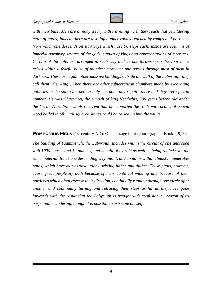

*with their base. Men are already weary with travelling when they reach that bewildering maze of paths; indeed, there are also lofty upper rooms reached by ramps and porticoes from which one descends on stairways which have 90 steps each; inside are columns of imperial porphyry, images of the gods, statues of kings and representations of monsters. Certain of the halls are arranged in such way that as one throws open the door there arises within a fearful noise of thunder; moreover one passes through most of them in darkness. There are again other massive buildings outside the wall of the Labyrinth; they call them "the Wing". Then there are other subterranean chambers made by excavating galleries in the soil. One person only has done any repairs there-and they were few in number. He was Chaermon, the eunoch of king Necthebis, 500 years before Alexander the Great. A tradition is also current that he supported the roofs with beams of acacia wood boiled in oil, until squared stones could be raised up into the vaults.* 

#### **POMPONIUS MELA** (1st century AD): One passage in his chorographia, Book I, 9, 56.

*The building of Psammetich, the Labyrinth, includes within the circuit of one unbroken wall 1000 houses and 12 palaces, and is built of marble as well as being roofed with the same material. It has one descending way into it, and contains within almost innumerable paths, which have many convolutions twisting hither and thither. These paths, however, cause great perplexity both because of their continual winding and because of their porticoes which often reverse their direction, continually running through one circle after another and continually turning and retracing their steps as far as they have gone forwards with the result that the Labyrinth is fraught with confusion by reason of its perpetual meandering, though it is possible to extricate oneself.*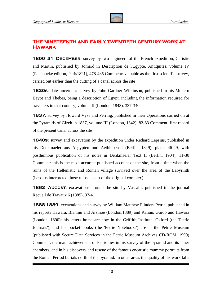#### **The nineteenth and early twentieth century work at Hawara**

**1800 31 DECEMBER:** survey by two engineers of the French expedition, Caristie and Martin, published by Jomard in Description de l'Egypte, Antiquites, volume IV (Pancoucke edition, Paris1821), 478-485 Comment: valuable as the first scientific survey, carried out earlier than the cutting of a canal across the site

**1820s**: date uncertain: survey by John Gardner Wilkinson, published in his Modern Egypt and Thebes, being a description of Egypt, including the information required for travellers in that country, volume II (London, 1843), 337-340

**1837**: survey by Howard Vyse and Perring, published in their Operations carried on at the Pyramids of Gizeh in 1837, volume III (London, 1842), 82-83 Comment: first record of the present canal across the site

**1840s**: survey and excavation by the expedition under Richard Lepsius, published in his Denkmaeler aus Aegypten und Aethiopen I (Berlin, 1849), plates 46-49, with posthumous publication of his notes in Denkmaeler Text II (Berlin, 1904), 11-30 Comment: this is the most accurate published account of the site, from a time when the ruins of the Hellenistic and Roman village survived over the area of the Labyrinth (Lepsius interpreted those ruins as part of the original complex)

**1862 AUGUST:** excavations around the site by Vassalli, published in the journal Recueil de Travaux 6 (1885), 37-41

**1888-1889:** excavations and survey by William Matthew Flinders Petrie, published in his reports Hawara, Biahmu and Arsinoe (London,1889) and Kahun, Gurob and Hawara (London, 1890): his letters home are now in the Griffith Institute, Oxford (the 'Petrie Journals'), and his pocket books (the 'Petrie Notebooks') are in the Petrie Museum (published with Secure Data Services in the Petrie Museum Archives CD-ROM, 1999) Comment: the main achievement of Petrie lies in his survey of the pyramid and its inner chambers, and in his discovery and rescue of the famous encaustic mummy portraits from the Roman Period burials north of the pyramid. In other areas the quality of his work falls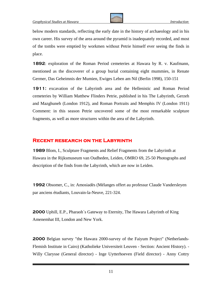below modern standards, reflecting the early date in the history of archaeology and in his own career. His survey of the area around the pyramid is inadequately recorded, and most of the tombs were emptied by workmen without Petrie himself ever seeing the finds in place.

**1892**: exploration of the Roman Period cemeteries at Hawara by R. v. Kaufmann, mentioned as the discoverer of a group burial containing eight mummies, in Renate Germer, Das Geheimnis der Mumien, Ewiges Leben am Nil (Berlin 1998), 150-151

**1911:** excavation of the Labyrinth area and the Hellenistic and Roman Period cemeteries by William Matthew Flinders Petrie, published in his The Labyrinth, Gerzeh and Mazghuneh (London 1912), and Roman Portraits and Memphis IV (London 1911) Comment: in this season Petrie uncovered some of the most remarkable sculpture fragments, as well as more structures within the area of the Labyrinth.

#### **Recent research on the Labyrinth**

**1989** Blom, I., Sculpture Fragments and Relief Fragments from the Labyrinth at Hawara in the Rijksmuseum van Oudheden, Leiden, OMRO 69, 25-50 Photographs and description of the finds from the Labyrinth, which are now in Leiden.

**1992** Obsomer, C., in: Amosiadès (Mélanges offert au professur Claude Vandersleyen par anciens étudiants, Louvain-la-Neuve, 221-324.

**2000** Uphill, E.P., Pharaoh´s Gateway to Eternity, The Hawara Labyrinth of King Amenemhat III, London and New York.

**2000** Belgian survey "the Hawara 2000-survey of the Faiyum Project" (Netherlands-Flemish Institute in Cairo) (Katholieke Universiteit Leuven - Section: Ancient History). - Willy Clarysse (General director) - Inge Uytterhoeven (Field director) - Anny Cottry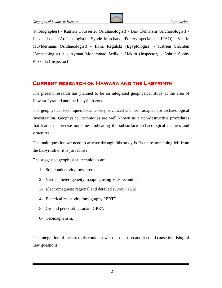

(Photographer) - Katrien Cousserier (Archaeologist) - Bart Demarsin (Archaeologist) - Lieven Loots (Archaeologist) - Sylvie Marchand (Pottery specialist - IFAO) - Veerle Muyldermans (Archaeologist) - Ilona Regulski (Egyptologist) - Katrien Slechten (Archaeologist) > - Ayman Mohammad Sedik el-Hakim (Inspector) - Ashraf Sobhy Rezkalla (Inspector)

#### **Current research on Hawara and the Labyrinth**

The present research has planned to be an integrated geophysical study at the area of Hawara Pyramid and the Labyrinth zone.

The geophysical techniques became very advanced and well adapted for archaeological investigation. Geophysical techniques are well known as a non-destructive procedures that lead to a precise outcomes indicating the subsurface archaeological features and structures.

The main question we need to answer through this study is "is there something left from the Labyrinth or it is just ruins?"

The suggested geophysical techniques are:

- 1- Soil conductivity measurements .
- 2- Vertical heterogeneity mapping using VLF technique.
- 3- Electromagnetic regional and detailed survey "TEM".
- 4- Electrical resistivity tomography "ERT".
- 5- Ground penetrating radar "GPR".
- 6- Geomagnetism.

The integration of the six tools could answer our question and it could cause the rising of new questions!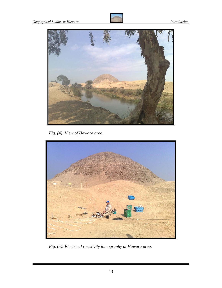



*Fig. (4): View of Hawara area.* 



*Fig. (5): Electrical resistivity tomography at Hawara area.*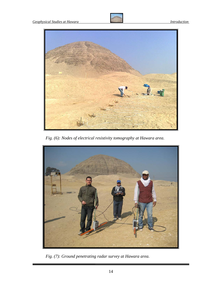

*Fig. (6): Nodes of electrical resistivity tomography at Hawara area.* 



*Fig. (7): Ground penetrating radar survey at Hawara area.*